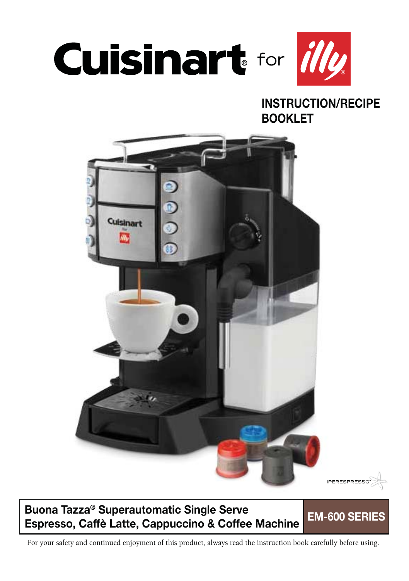

### **INSTRUCTION/RECIPE BOOKLET**



### **Buona Tazza® Superautomatic Single Serve Espresso, Caffè Latte, Cappuccino & Coffee Machine EM-600 SERIES**

For your safety and continued enjoyment of this product, always read the instruction book carefully before using.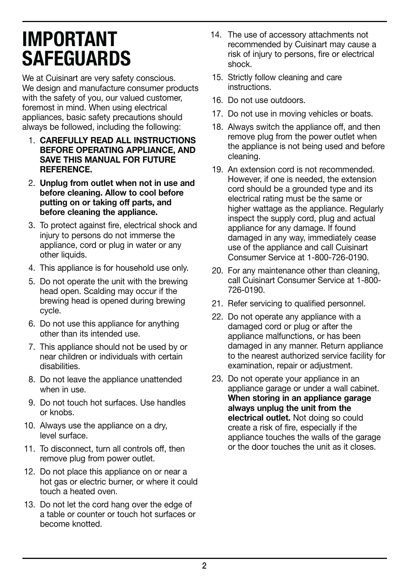## **IMPORTANT SAFEGUARDS**

We at Cuisinart are very safety conscious. We design and manufacture consumer products with the safety of you, our valued customer. foremost in mind. When using electrical appliances, basic safety precautions should always be followed, including the following:

- 1. **CAREFULLY READ ALL INSTRUCTIONS BEFORE OPERATING APPLIANCE, AND SAVE THIS MANUAL FOR FUTURE REFERENCE.**
- 2. **Unplug from outlet when not in use and before cleaning. Allow to cool before putting on or taking off parts, and before cleaning the appliance.**
- 3. To protect against fire, electrical shock and injury to persons do not immerse the appliance, cord or plug in water or any other liquids.
- 4. This appliance is for household use only.
- 5. Do not operate the unit with the brewing head open. Scalding may occur if the brewing head is opened during brewing cycle.
- 6. Do not use this appliance for anything other than its intended use.
- 7. This appliance should not be used by or near children or individuals with certain disabilities.
- 8. Do not leave the appliance unattended when in use.
- 9. Do not touch hot surfaces. Use handles or knobs.
- 10. Always use the appliance on a dry, level surface.
- 11. To disconnect, turn all controls off, then remove plug from power outlet.
- 12. Do not place this appliance on or near a hot gas or electric burner, or where it could touch a heated oven.
- 13. Do not let the cord hang over the edge of a table or counter or touch hot surfaces or become knotted.
- 14. The use of accessory attachments not recommended by Cuisinart may cause a risk of injury to persons, fire or electrical shock.
- 15. Strictly follow cleaning and care instructions.
- 16. Do not use outdoors.
- 17. Do not use in moving vehicles or boats.
- 18. Always switch the appliance off, and then remove plug from the power outlet when the appliance is not being used and before cleaning.
- 19. An extension cord is not recommended. However, if one is needed, the extension cord should be a grounded type and its electrical rating must be the same or higher wattage as the appliance. Regularly inspect the supply cord, plug and actual appliance for any damage. If found damaged in any way, immediately cease use of the appliance and call Cuisinart Consumer Service at 1-800-726-0190.
- 20. For any maintenance other than cleaning, call Cuisinart Consumer Service at 1-800- 726-0190.
- 21. Refer servicing to qualified personnel.
- 22. Do not operate any appliance with a damaged cord or plug or after the appliance malfunctions, or has been damaged in any manner. Return appliance to the nearest authorized service facility for examination, repair or adjustment.
- 23. Do not operate your appliance in an appliance garage or under a wall cabinet. **When storing in an appliance garage always unplug the unit from the electrical outlet.** Not doing so could create a risk of fire, especially if the appliance touches the walls of the garage or the door touches the unit as it closes.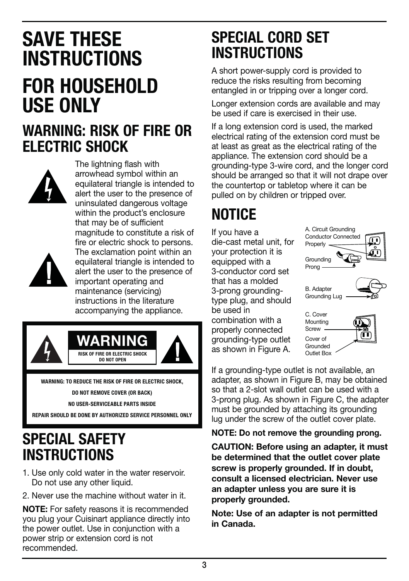# **SAVE THESE INSTRUCTIONS FOR HOUSEHOLD USE ONLY**

### **WARNING: RISK OF FIRE OR ELECTRIC SHOCK**



The lightning flash with arrowhead symbol within an equilateral triangle is intended to alert the user to the presence of uninsulated dangerous voltage within the product's enclosure that may be of sufficient magnitude to constitute a risk of fire or electric shock to persons. The exclamation point within an equilateral triangle is intended to alert the user to the presence of important operating and maintenance (servicing) instructions in the literature accompanying the appliance.



**WARNING: TO REDUCE THE RISK OF FIRE OR ELECTRIC SHOCK,** 

**DO NOT REMOVE COVER (OR BACK)**

**NO USER-SERVICEABLE PARTS INSIDE**

**REPAIR SHOULD BE DONE BY AUTHORIZED SERVICE PERSONNEL ONLY**

### **SPECIAL SAFETY INSTRUCTIONS**

- 1. Use only cold water in the water reservoir. Do not use any other liquid.
- 2. Never use the machine without water in it.

**NOTE:** For safety reasons it is recommended you plug your Cuisinart appliance directly into the power outlet. Use in conjunction with a power strip or extension cord is not recommended.

### **SPECIAL CORD SET INSTRUCTIONS**

A short power-supply cord is provided to reduce the risks resulting from becoming entangled in or tripping over a longer cord.

Longer extension cords are available and may be used if care is exercised in their use.

If a long extension cord is used, the marked electrical rating of the extension cord must be at least as great as the electrical rating of the appliance. The extension cord should be a grounding-type 3-wire cord, and the longer cord should be arranged so that it will not drape over the countertop or tabletop where it can be pulled on by children or tripped over.

## **NOTICE**

If you have a die-cast metal unit, for your protection it is equipped with a 3-conductor cord set that has a molded 3-prong groundingtype plug, and should be used in combination with a properly connected grounding-type outlet

Grounding Prong B. Adapter Grounding Lug C. Cover **Mounting** Screw . Cover of A. Circuit Grounding Conductor Connected Properly .

as shown in Figure A. Grounded Outlet Box

If a grounding-type outlet is not available, an adapter, as shown in Figure B, may be obtained so that a 2-slot wall outlet can be used with a 3-prong plug. As shown in Figure C, the adapter must be grounded by attaching its grounding lug under the screw of the outlet cover plate.

#### **NOTE: Do not remove the grounding prong.**

**CAUTION: Before using an adapter, it must be determined that the outlet cover plate screw is properly grounded. If in doubt, consult a licensed electrician. Never use an adapter unless you are sure it is properly grounded.**

**Note: Use of an adapter is not permitted in Canada.**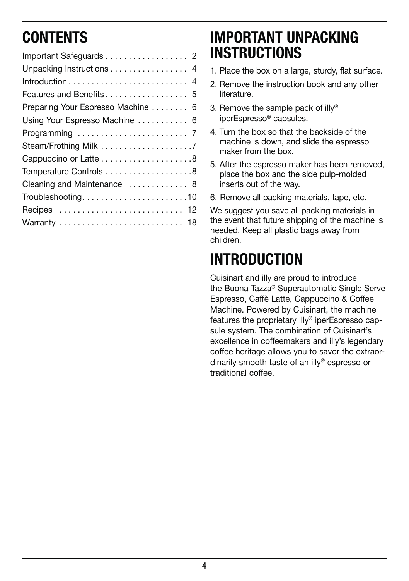## **CONTENTS**

| Important Safeguards 2             |
|------------------------------------|
| Unpacking Instructions 4           |
|                                    |
|                                    |
| Preparing Your Espresso Machine  6 |
| Using Your Espresso Machine  6     |
|                                    |
|                                    |
|                                    |
|                                    |
| Cleaning and Maintenance  8        |
| Troubleshooting10                  |
| Recipes  12                        |
|                                    |
|                                    |

### **IMPORTANT UNPACKING INSTRUCTIONS**

- 1. Place the box on a large, sturdy, flat surface.
- 2. Remove the instruction book and any other literature.
- 3. Remove the sample pack of illy® iperEspresso® capsules.
- 4. Turn the box so that the backside of the machine is down, and slide the espresso maker from the box.
- 5. After the espresso maker has been removed, place the box and the side pulp-molded inserts out of the way.
- 6. Remove all packing materials, tape, etc.

We suggest you save all packing materials in the event that future shipping of the machine is needed. Keep all plastic bags away from children.

## **INTRODUCTION**

Cuisinart and illy are proud to introduce the Buona Tazza® Superautomatic Single Serve Espresso, Caffè Latte, Cappuccino & Coffee Machine. Powered by Cuisinart, the machine features the proprietary illy® iperEspresso capsule system. The combination of Cuisinart's excellence in coffeemakers and illy's legendary coffee heritage allows you to savor the extraordinarily smooth taste of an illy® espresso or traditional coffee.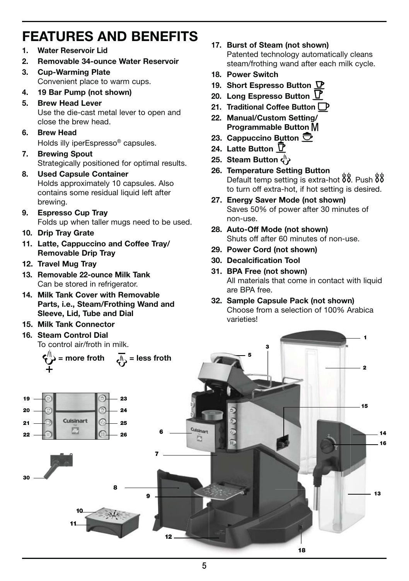### **FEATURES AND BENEFITS**

- **1. Water Reservoir Lid**
- **2. Removable 34-ounce Water Reservoir**
- **3. Cup-Warming Plate**  Convenient place to warm cups.
- **4. 19 Bar Pump (not shown)**
- **5. Brew Head Lever**  Use the die-cast metal lever to open and close the brew head.
- **6. Brew Head** 
	- Holds illy iperEspresso® capsules.
- **7. Brewing Spout**  Strategically positioned for optimal results.
- **8. Used Capsule Container**  Holds approximately 10 capsules. Also contains some residual liquid left after brewing.
- **9. Espresso Cup Tray**  Folds up when taller mugs need to be used.
- **10. Drip Tray Grate**
- **11. Latte, Cappuccino and Coffee Tray/ Removable Drip Tray**
- **12. Travel Mug Tray**
- **13. Removable 22-ounce Milk Tank**  Can be stored in refrigerator.
- **14. Milk Tank Cover with Removable Parts, i.e., Steam/Frothing Wand and Sleeve, Lid, Tube and Dial**
- **15. Milk Tank Connector**
- **16. Steam Control Dial**  To control air/froth in milk.
- **17. Burst of Steam (not shown)**  Patented technology automatically cleans steam/frothing wand after each milk cycle.
- **18. Power Switch**
- **19. Short Espresso Button**
- **20. Long Espresso Button**
- **21. Traditional Coffee Button**
- **22. Manual/Custom Setting/ Programmable Button**
- **23. Cappuccino Button**
- **24. Latte Button**
- **25. Steam Button**
- **26. Temperature Setting Button**  Default temp setting is extra-hot  $88$ . Push  $88$ to turn off extra-hot, if hot setting is desired.
- **27. Energy Saver Mode (not shown)**  Saves 50% of power after 30 minutes of non-use.
- **28. Auto-Off Mode (not shown)**  Shuts off after 60 minutes of non-use.
- **29. Power Cord (not shown)**
- **30. Decalcification Tool**
- **31. BPA Free (not shown)**  All materials that come in contact with liquid are BPA free.
- **32. Sample Capsule Pack (not shown)**  Choose from a selection of 100% Arabica varieties!

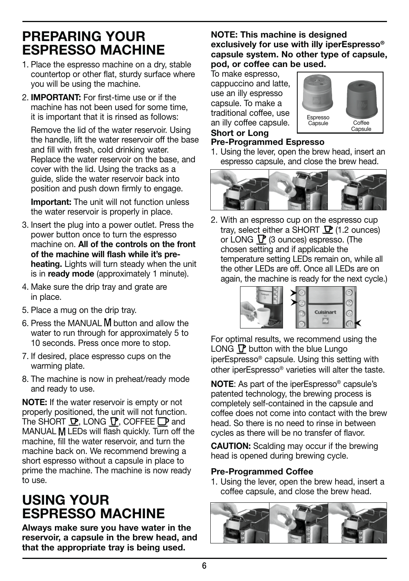### **PREPARING YOUR ESPRESSO MACHINE**

- 1. Place the espresso machine on a dry, stable countertop or other flat, sturdy surface where you will be using the machine.
- 2. **IMPORTANT:** For first-time use or if the machine has not been used for some time it is important that it is rinsed as follows:

 Remove the lid of the water reservoir. Using the handle, lift the water reservoir off the base and fill with fresh, cold drinking water. Replace the water reservoir on the base, and cover with the lid. Using the tracks as a guide, slide the water reservoir back into position and push down firmly to engage.

 **Important:** The unit will not function unless the water reservoir is properly in place.

- 3. Insert the plug into a power outlet. Press the power button once to turn the espresso machine on. **All of the controls on the front of the machine will flash while it's preheating.** Lights will turn steady when the unit is in **ready mode** (approximately 1 minute).
- 4. Make sure the drip tray and grate are in place.
- 5. Place a mug on the drip tray.
- 6. Press the MANUAL M button and allow the water to run through for approximately 5 to 10 seconds. Press once more to stop.
- 7. If desired, place espresso cups on the warming plate.
- 8. The machine is now in preheat/ready mode and ready to use.

**NOTE:** If the water reservoir is empty or not properly positioned, the unit will not function. The SHORT  $\mathbf{D}$ , LONG  $\mathbf{D}$ , COFFEE  $\mathbf{D}$  and MANUAL M LEDs will flash quickly. Turn off the machine, fill the water reservoir, and turn the machine back on. We recommend brewing a short espresso without a capsule in place to prime the machine. The machine is now ready to use.

### **USING YOUR ESPRESSO MACHINE**

**Always make sure you have water in the reservoir, a capsule in the brew head, and that the appropriate tray is being used.**

#### **NOTE: This machine is designed exclusively for use with illy iperEspresso® capsule system. No other type of capsule, pod, or coffee can be used.**

To make espresso, cappuccino and latte, use an illy espresso capsule. To make a traditional coffee, use an illy coffee capsule. **Short or Long** 



#### **Pre-Programmed Espresso**

1. Using the lever, open the brew head, insert an espresso capsule, and close the brew head.



2. With an espresso cup on the espresso cup tray, select either a SHORT  $\nabla$  (1.2 ounces) or LONG  $\Gamma$  (3 ounces) espresso. (The chosen setting and if applicable the temperature setting LEDs remain on, while all the other LEDs are off. Once all LEDs are on again, the machine is ready for the next cycle.)



For optimal results, we recommend using the LONG  $\Gamma$  button with the blue Lungo iperEspresso® capsule. Using this setting with other iperEspresso® varieties will alter the taste.

**NOTE**: As part of the iperEspresso® capsule's patented technology, the brewing process is completely self-contained in the capsule and coffee does not come into contact with the brew head. So there is no need to rinse in between cycles as there will be no transfer of flavor.

**CAUTION:** Scalding may occur if the brewing head is opened during brewing cycle.

#### **Pre-Programmed Coffee**

1. Using the lever, open the brew head, insert a coffee capsule, and close the brew head.

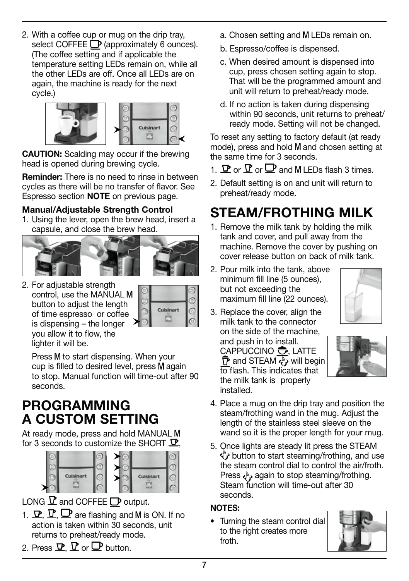2. With a coffee cup or mug on the drip tray, select COFFEE <sup>(D</sup> (approximately 6 ounces). (The coffee setting and if applicable the temperature setting LEDs remain on, while all the other LEDs are off. Once all LEDs are on again, the machine is ready for the next cycle.)



**CAUTION:** Scalding may occur if the brewing head is opened during brewing cycle.

**Reminder:** There is no need to rinse in between cycles as there will be no transfer of flavor. See Espresso section **NOTE** on previous page.

#### **Manual/Adjustable Strength Control**

1. Using the lever, open the brew head, insert a capsule, and close the brew head.



2. For adjustable strength control, use the MANUAL button to adjust the length of time espresso or coffee is dispensing – the longer you allow it to flow, the lighter it will be.



Press M to start dispensing. When your cup is filled to desired level, press M again to stop. Manual function will time-out after 90 seconds.

### **PROGRAMMING A CUSTOM SETTING**

At ready mode, press and hold MANUAL for 3 seconds to customize the SHORT  $\mathbf{\mathcal{P}}$ .



LONG  $\underline{\mathbf{P}}$  and COFFEE  $\underline{\mathbf{P}}$  output.

- 1.  $\mathbf{P}, \mathbf{P}, \mathbf{P}$  are flashing and M is ON. If no action is taken within 30 seconds, unit returns to preheat/ready mode.
- 2. Press  $\Psi \nabla$  or  $\Box$  button.
- a. Chosen setting and M LEDs remain on.
- b. Espresso/coffee is dispensed.
- c. When desired amount is dispensed into cup, press chosen setting again to stop. That will be the programmed amount and unit will return to preheat/ready mode.
- d. If no action is taken during dispensing within 90 seconds, unit returns to preheat/ ready mode. Setting will not be changed.

To reset any setting to factory default (at ready mode), press and hold M and chosen setting at the same time for 3 seconds.

- 1.  $\mathbf{P}$  or  $\mathbf{P}$  or  $\mathbf{P}$  and M I FDs flash 3 times.
- 2. Default setting is on and unit will return to preheat/ready mode.

### **STEAM/FROTHING MILK**

- 1. Remove the milk tank by holding the milk tank and cover, and pull away from the machine. Remove the cover by pushing on cover release button on back of milk tank.
- 2. Pour milk into the tank, above minimum fill line (5 ounces), but not exceeding the maximum fill line (22 ounces).



3. Replace the cover, align the milk tank to the connector on the side of the machine,

 and push in to install. CAPPUCCINO <del>O</del>, LATTE  $\overline{P}$  and STEAM  $\overline{P}$  will begin to flash. This indicates that the milk tank is properly installed.



- 4. Place a mug on the drip tray and position the steam/frothing wand in the mug. Adjust the length of the stainless steel sleeve on the wand so it is the proper length for your mug.
- 5. Once lights are steady lit press the STEAM  $\overset{\text{\tiny{4}}}{\rightarrow}$  button to start steaming/frothing, and use the steam control dial to control the air/froth. Press  $e^{i\phi}$  again to stop steaming/frothing. Steam function will time-out after 30 seconds.

#### **NOTES:**

• Turning the steam control dial to the right creates more froth.

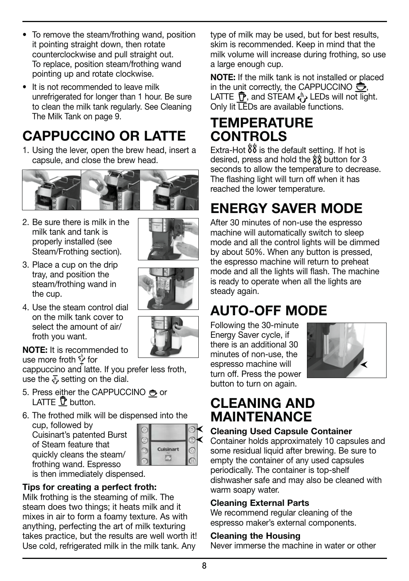#### **Cleaning the Housing**

Never immerse the machine in water or other

**8**

- To remove the steam/frothing wand, position it pointing straight down, then rotate counterclockwise and pull straight out. To replace, position steam/frothing wand pointing up and rotate clockwise.
- It is not recommended to leave milk unrefrigerated for longer than 1 hour. Be sure to clean the milk tank regularly. See Cleaning The Milk Tank on page 9.

### **CAPPUCCINO OR LATTE**

1. Using the lever, open the brew head, insert a capsule, and close the brew head.



2. Be sure there is milk in the milk tank and tank is properly installed (see Steam/Frothing section).



- 3. Place a cup on the drip tray, and position the steam/frothing wand in the cup.
- 4. Use the steam control dial on the milk tank cover to select the amount of air/ froth you want.

**NOTE:** It is recommended to use more froth  $\psi$  for

cappuccino and latte. If you prefer less froth, use the  $\overline{A}$  setting on the dial.

- 5. Press either the CAPPUCCINO  $\bigoplus$  or LATTE  $\bar{\mathbf{P}}$  button.
- 6. The frothed milk will be dispensed into the

cup, followed by Cuisinart's patented Burst of Steam feature that quickly cleans the steam/ frothing wand. Espresso



is then immediately dispensed.

#### **Tips for creating a perfect froth:**

Milk frothing is the steaming of milk. The steam does two things; it heats milk and it mixes in air to form a foamy texture. As with anything, perfecting the art of milk texturing takes practice, but the results are well worth it! Use cold, refrigerated milk in the milk tank. Any

type of milk may be used, but for best results, skim is recommended. Keep in mind that the milk volume will increase during frothing, so use a large enough cup.

**NOTE:** If the milk tank is not installed or placed in the unit correctly, the CAPPUCCINO  $\bigoplus$ , LATTE  $\widehat{\mathbb{P}}$ , and STEAM  $\zeta$ . LEDs will not light. Only lit LEDs are available functions.

### **TEMPERATURE CONTROLS**

Extra-Hot  $88$  is the default setting. If hot is desired, press and hold the  $\frac{1}{6}$  button for 3 seconds to allow the temperature to decrease. The flashing light will turn off when it has reached the lower temperature.

## **ENERGY SAVER MODE**

After 30 minutes of non-use the espresso machine will automatically switch to sleep mode and all the control lights will be dimmed by about 50%. When any button is pressed, the espresso machine will return to preheat mode and all the lights will flash. The machine is ready to operate when all the lights are steady again.

## **AUTO-OFF MODE**

Following the 30-minute Energy Saver cycle, if there is an additional 30 minutes of non-use, the espresso machine will turn off. Press the power button to turn on again.



### **CLEANING AND MAINTENANCE**

### **Cleaning Used Capsule Container**

Container holds approximately 10 capsules and some residual liquid after brewing. Be sure to empty the container of any used capsules periodically. The container is top-shelf dishwasher safe and may also be cleaned with warm soapy water.

#### **Cleaning External Parts**

We recommend regular cleaning of the espresso maker's external components.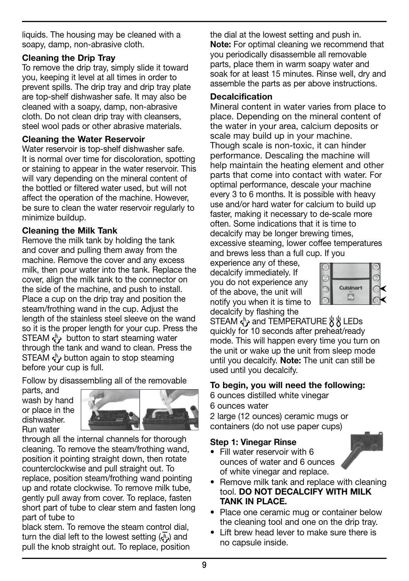liquids. The housing may be cleaned with a soapy, damp, non-abrasive cloth.

#### **Cleaning the Drip Tray**

To remove the drip tray, simply slide it toward you, keeping it level at all times in order to prevent spills. The drip tray and drip tray plate are top-shelf dishwasher safe. It may also be cleaned with a soapy, damp, non-abrasive cloth. Do not clean drip tray with cleansers, steel wool pads or other abrasive materials.

#### **Cleaning the Water Reservoir**

Water reservoir is top-shelf dishwasher safe. It is normal over time for discoloration, spotting or staining to appear in the water reservoir. This will vary depending on the mineral content of the bottled or filtered water used, but will not affect the operation of the machine. However, be sure to clean the water reservoir regularly to minimize buildup.

#### **Cleaning the Milk Tank**

Remove the milk tank by holding the tank and cover and pulling them away from the machine. Remove the cover and any excess milk, then pour water into the tank. Replace the cover, align the milk tank to the connector on the side of the machine, and push to install. Place a cup on the drip tray and position the steam/frothing wand in the cup. Adjust the length of the stainless steel sleeve on the wand so it is the proper length for your cup. Press the STEAM  $\leftarrow$  button to start steaming water through the tank and wand to clean. Press the STEAM  $\left\langle \cdot \right\rangle$  button again to stop steaming before your cup is full.

Follow by disassembling all of the removable

parts, and wash by hand or place in the dishwasher. Run water



through all the internal channels for thorough cleaning. To remove the steam/frothing wand, position it pointing straight down, then rotate counterclockwise and pull straight out. To replace, position steam/frothing wand pointing up and rotate clockwise. To remove milk tube, gently pull away from cover. To replace, fasten short part of tube to clear stem and fasten long part of tube to

black stem. To remove the steam control dial, turn the dial left to the lowest setting  $(\sqrt[n]{\phi})$  and pull the knob straight out. To replace, position the dial at the lowest setting and push in. **Note:** For optimal cleaning we recommend that you periodically disassemble all removable parts, place them in warm soapy water and soak for at least 15 minutes. Rinse well, dry and assemble the parts as per above instructions.

#### **Decalcification**

Mineral content in water varies from place to place. Depending on the mineral content of the water in your area, calcium deposits or scale may build up in your machine. Though scale is non-toxic, it can hinder performance. Descaling the machine will help maintain the heating element and other parts that come into contact with water. For optimal performance, descale your machine every 3 to 6 months. It is possible with heavy use and/or hard water for calcium to build up faster, making it necessary to de-scale more often. Some indications that it is time to decalcify may be longer brewing times, excessive steaming, lower coffee temperatures and brews less than a full cup. If you

experience any of these, decalcify immediately. If you do not experience any of the above, the unit will notify you when it is time to decalcify by flashing the



STEAM  $\overset{\circ}{\leftarrow}$  and TEMPERATURE  $\overset{\circ}{\leftarrow} \overset{\circ}{\mathcal{B}}$  LEDs quickly for 10 seconds after preheat/ready mode. This will happen every time you turn on the unit or wake up the unit from sleep mode until you decalcify. **Note:** The unit can still be used until you decalcify.

#### **To begin, you will need the following:**

6 ounces distilled white vinegar

6 ounces water

2 large (12 ounces) ceramic mugs or containers (do not use paper cups)

#### **Step 1: Vinegar Rinse**

 $\cdot$  Fill water reservoir with 6 ounces of water and 6 ounces of white vinegar and replace.



- Remove milk tank and replace with cleaning tool. **DO NOT DECALCIFY WITH MILK TANK IN PLACE.**
- Place one ceramic mug or container below the cleaning tool and one on the drip tray.
- Lift brew head lever to make sure there is no capsule inside.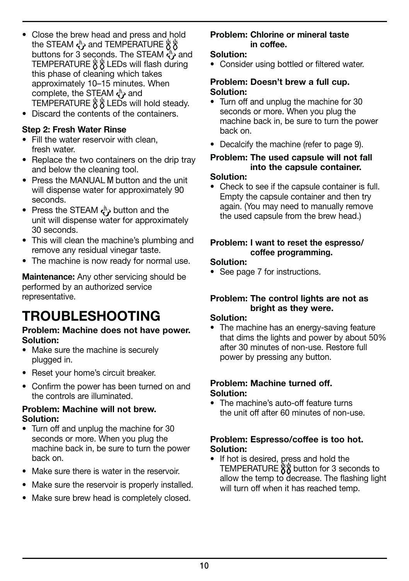- Close the brew head and press and hold the STEAM < and TEMPERATURE %% buttons for 3 seconds. The STEAM  $\ddot{a}$  and TEMPERATURE  $\frac{1}{2}$  & LEDs will flash during this phase of cleaning which takes approximately 10–15 minutes. When complete, the STEAM  $\overset{\text{\tiny{(1)}}}{\leftarrow}$  and TEMPERATURE  $\frac{16}{5}$  LEDs will hold steady.
- Discard the contents of the containers.

#### **Step 2: Fresh Water Rinse**

- Fill the water reservoir with clean, fresh water.
- Replace the two containers on the drip tray and below the cleaning tool.
- Press the MANUAL M button and the unit will dispense water for approximately 90 seconds.
- Press the STEAM  $\overset{\text{{\tiny (1)}}}{\leftarrow}$  button and the unit will dispense water for approximately 30 seconds.
- This will clean the machine's plumbing and remove any residual vinegar taste.
- The machine is now ready for normal use.

**Maintenance:** Any other servicing should be performed by an authorized service representative.

### **TROUBLESHOOTING**

#### **Problem: Machine does not have power. Solution:**

- Make sure the machine is securely plugged in.
- Reset your home's circuit breaker.
- Confirm the power has been turned on and the controls are illuminated.

#### **Problem: Machine will not brew. Solution:**

- Turn off and unplug the machine for 30 seconds or more. When you plug the machine back in, be sure to turn the power back on.
- Make sure there is water in the reservoir
- Make sure the reservoir is properly installed.
- Make sure brew head is completely closed.

#### **Problem: Chlorine or mineral taste in coffee.**

#### **Solution:**

• Consider using bottled or filtered water.

#### **Problem: Doesn't brew a full cup. Solution:**

- Turn off and unplug the machine for 30 seconds or more. When you plug the machine back in, be sure to turn the power back on.
- Decalcity the machine (reter to page 9).

#### **Problem: The used capsule will not fall into the capsule container.**

#### **Solution:**

• Check to see if the capsule container is full. Empty the capsule container and then try again. (You may need to manually remove the used capsule from the brew head.)

#### **Problem: I want to reset the espresso/ coffee programming.**

#### **Solution:**

• See page 7 for instructions.

#### **Problem: The control lights are not as bright as they were.**

#### **Solution:**

• The machine has an energy-saving feature that dims the lights and power by about 50% after 30 minutes of non-use. Restore full power by pressing any button.

#### **Problem: Machine turned off. Solution:**

• The machine's auto-off feature turns the unit off after 60 minutes of non-use.

#### **Problem: Espresso/coffee is too hot. Solution:**

• If hot is desired, press and hold the TEMPERATURE  $88$  button for 3 seconds to allow the temp to decrease. The flashing light will turn off when it has reached temp.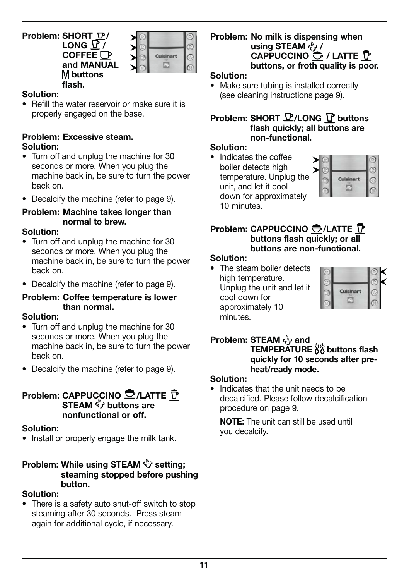#### **Problem: SHORT / LONG**  $\overline{Y}$ **COFFEE and MANUAL buttons flash.**



#### **Solution:**

• Refill the water reservoir or make sure it is properly engaged on the base.

#### **Problem: Excessive steam. Solution:**

- Turn off and unplug the machine for 30 seconds or more. When you plug the machine back in, be sure to turn the power back on.
- $\bullet$  Decalcify the machine (refer to page 9).

#### **Problem: Machine takes longer than normal to brew.**

#### **Solution:**

- Turn off and unplug the machine for 30 seconds or more. When you plug the machine back in, be sure to turn the power back on.
- $\bullet$  Decalcify the machine (refer to page 9).

#### **Problem: Coffee temperature is lower than normal.**

#### **Solution:**

- Turn off and unplug the machine for 30 seconds or more. When you plug the machine back in, be sure to turn the power back on.
- $\bullet$  Decalcify the machine (refer to page 9).

#### **Problem: CAPPUCCINO CZ/LATTE P STEAM**  $\overset{\mathbb{P}}{\mathcal{D}}$  buttons are **nonfunctional or off.**

#### **Solution:**

• Install or properly engage the milk tank.

#### **Problem: While using STEAM**  $\overset{\wedge}{\mathbf{V}}$  **setting: steaming stopped before pushing button.**

#### **Solution:**

• There is a safety auto shut-off switch to stop steaming after 30 seconds. Press steam again for additional cycle, if necessary.

#### **Problem: No milk is dispensing when**  using STEAM  $\leftrightarrow$  / **CAPPUCCINO O / LATTE P buttons, or froth quality is poor.**

#### **Solution:**

• Make sure tubing is installed correctly (see cleaning instructions page 9).

#### **Problem: SHORT**  $\mathbf{P}/$ **LONG**  $\mathbf{P}$  **buttons flash quickly; all buttons are non-functional.**

#### **Solution:**

• Indicates the coffee boiler detects high temperature. Unplug the unit, and let it cool down for approximately 10 minutes.



#### **Problem: CAPPUCCINO +/LATTE D buttons flash quickly; or all buttons are non-functional.**

#### **Solution:**

• The steam boiler detects high temperature. Unplug the unit and let it cool down for approximately 10 minutes.



### **Problem: STEAM**  $\langle \cdot \rangle$  **and**

**TEMPERATURE 88** buttons flash **quickly for 10 seconds after preheat/ready mode.**

#### **Solution:**

Indicates that the unit needs to be decalcified. Please follow decalcification procedure on page 9.

 **NOTE:** The unit can still be used until you decalcify.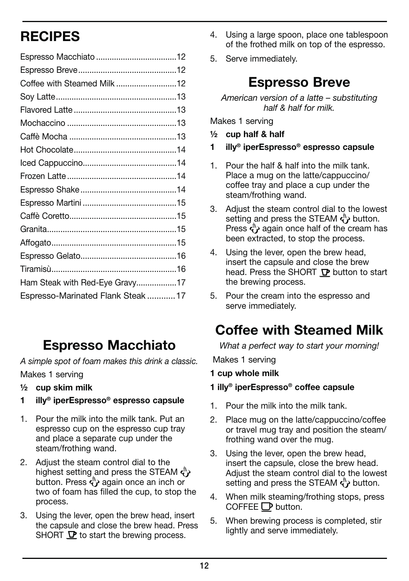### **RECIPES**

| Coffee with Steamed Milk 12        |  |
|------------------------------------|--|
|                                    |  |
|                                    |  |
|                                    |  |
|                                    |  |
|                                    |  |
|                                    |  |
|                                    |  |
|                                    |  |
|                                    |  |
|                                    |  |
|                                    |  |
|                                    |  |
|                                    |  |
|                                    |  |
| Ham Steak with Red-Eye Gravy17     |  |
| Espresso-Marinated Flank Steak  17 |  |
|                                    |  |

### **Espresso Macchiato**

A simple spot of foam makes this drink a classic. Makes 1 serving

- **½ cup skim milk**
- **1 illy® iperEspresso® espresso capsule**
- 1. Pour the milk into the milk tank. Put an espresso cup on the espresso cup tray and place a separate cup under the steam/frothing wand.
- 2. Adjust the steam control dial to the highest setting and press the STEAM  $\langle \rangle$ button. Press  $\zeta$  again once an inch or two of foam has filled the cup, to stop the process.
- 3. Using the lever, open the brew head, insert the capsule and close the brew head. Press SHORT  $\mathbf \nabla$  to start the brewing process.
- 4. Using a large spoon, place one tablespoon of the frothed milk on top of the espresso.
- 5. Serve immediately.

### **Espresso Breve**

American version of a latte – substituting half & half for milk.

Makes 1 serving

- **½ cup half & half**
- **1 illy® iperEspresso® espresso capsule**
- 1. Pour the half & half into the milk tank. Place a mug on the latte/cappuccino/ coffee tray and place a cup under the steam/frothing wand.
- 3. Adjust the steam control dial to the lowest setting and press the STEAM  $\overset{\text{{\tiny (h)}}}{\leftrightarrow}$  button. Press  $\langle \rangle$  again once half of the cream has been extracted, to stop the process.
- 4. Using the lever, open the brew head, insert the capsule and close the brew head. Press the SHORT  $\mathbf P$  button to start the brewing process.
- 5. Pour the cream into the espresso and serve immediately.

### **Coffee with Steamed Milk**

What a perfect way to start your morning!

Makes 1 serving

- **1 cup whole milk**
- **1 illy® iperEspresso® coffee capsule**
- 1. Pour the milk into the milk tank.
- 2. Place mug on the latte/cappuccino/coffee or travel mug tray and position the steam/ frothing wand over the mug.
- 3. Using the lever, open the brew head, insert the capsule, close the brew head. Adjust the steam control dial to the lowest setting and press the STEAM  $\langle \psi \rangle$  button.
- 4. When milk steaming/frothing stops, press  $C$ OFFEE $D$  button.
- 5. When brewing process is completed, stir lightly and serve immediately.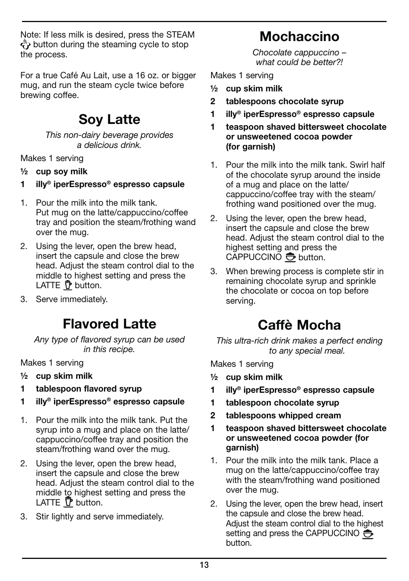Note: If less milk is desired, press the STEAM  $\langle \cdot \rangle$  button during the steaming cycle to stop the process.

For a true Café Au Lait, use a 16 oz. or bigger mug, and run the steam cycle twice before brewing coffee.

### **Soy Latte**

This non-dairy beverage provides a delicious drink.

Makes 1 serving

- **½ cup soy milk**
- **1 illy® iperEspresso® espresso capsule**
- 1. Pour the milk into the milk tank. Put mug on the latte/cappuccino/coffee tray and position the steam/frothing wand over the mug.
- 2. Using the lever, open the brew head, insert the capsule and close the brew head. Adjust the steam control dial to the middle to highest setting and press the LATTE  $\bar{\mathbf{P}}$  button.
- 3. Serve immediately.

### **Flavored Latte**

Any type of flavored syrup can be used in this recipe.

Makes 1 serving

- **½ cup skim milk**
- **1 tablespoon flavored syrup**
- **1 illy® iperEspresso® espresso capsule**
- 1. Pour the milk into the milk tank. Put the syrup into a mug and place on the latte/ cappuccino/coffee tray and position the steam/frothing wand over the mug.
- 2. Using the lever, open the brew head, insert the capsule and close the brew head. Adjust the steam control dial to the middle to highest setting and press the LATTE  $\overline{\mathbf{P}}$  button.
- 3. Stir lightly and serve immediately.

### **Mochaccino**

Chocolate cappuccino – what could be better?

Makes 1 serving

- **½ cup skim milk**
- **2 tablespoons chocolate syrup**
- **1 illy® iperEspresso® espresso capsule**
- **1 teaspoon shaved bittersweet chocolate or unsweetened cocoa powder (for garnish)**
- 1. Pour the milk into the milk tank. Swirl half of the chocolate syrup around the inside of a mug and place on the latte/ cappuccino/coffee tray with the steam/ frothing wand positioned over the mug.
- 2. Using the lever, open the brew head, insert the capsule and close the brew head. Adjust the steam control dial to the highest setting and press the CAPPUCCINO  $\bigoplus$  button.
- 3. When brewing process is complete stir in remaining chocolate syrup and sprinkle the chocolate or cocoa on top before serving.

### **Caffè Mocha**

This ultra-rich drink makes a perfect ending to any special meal.

Makes 1 serving

- **½ cup skim milk**
- **1 illy® iperEspresso® espresso capsule**
- **1 tablespoon chocolate syrup**
- **2 tablespoons whipped cream**
- **1 teaspoon shaved bittersweet chocolate or unsweetened cocoa powder (for garnish)**
- 1. Pour the milk into the milk tank. Place a mug on the latte/cappuccino/coffee tray with the steam/frothing wand positioned over the mug.
- 2. Using the lever, open the brew head, insert the capsule and close the brew head. Adjust the steam control dial to the highest setting and press the CAPPUCCINO button.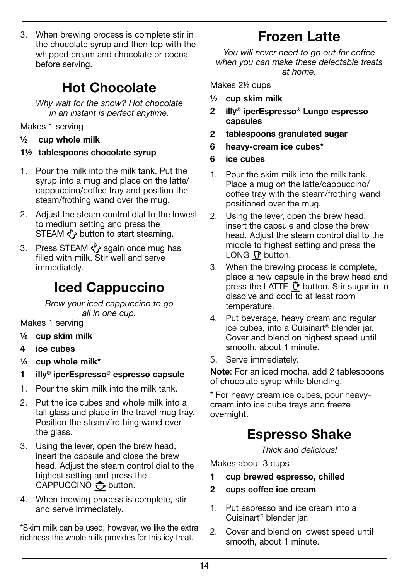3. When brewing process is complete stir in the chocolate syrup and then top with the whipped cream and chocolate or cocoa before serving.

### **Hot Chocolate**

Why wait for the snow? Hot chocolate in an instant is perfect anytime.

Makes 1 serving

**½ cup whole milk**

#### **1½ tablespoons chocolate syrup**

- 1. Pour the milk into the milk tank. Put the syrup into a mug and place on the latte/ cappuccino/coffee tray and position the steam/frothing wand over the mug.
- 2. Adjust the steam control dial to the lowest to medium setting and press the STEAM  $\langle \rangle$  button to start steaming.
- 3. Press STEAM  $\overset{\text{\tiny{th}}}{\left\langle \mathbf{y} \right\rangle}$  again once mug has filled with milk. Stir well and serve immediately.

### **Iced Cappuccino**

Brew your iced cappuccino to go all in one cup.

Makes 1 serving

- **½ cup skim milk**
- **4 ice cubes**
- **1 ⁄3 cup whole milk\***
- **1 illy® iperEspresso® espresso capsule**
- 1. Pour the skim milk into the milk tank.
- 2. Put the ice cubes and whole milk into a tall glass and place in the travel mug tray. Position the steam/frothing wand over the glass.
- 3. Using the lever, open the brew head, insert the capsule and close the brew head. Adjust the steam control dial to the highest setting and press the CAPPUCCINO  $\bigoplus$  button.
- 4. When brewing process is complete, stir and serve immediately.

\*Skim milk can be used; however, we like the extra richness the whole milk provides for this icy treat.

### **Frozen Latte**

You will never need to go out for coffee when you can make these delectable treats at home.

Makes 2½ cups

- **½ cup skim milk**
- **2 illy® iperEspresso® Lungo espresso capsules**
- **2 tablespoons granulated sugar**
- **6 heavy-cream ice cubes\***
- **6 ice cubes**
- 1. Pour the skim milk into the milk tank. Place a mug on the latte/cappuccino/ coffee tray with the steam/frothing wand positioned over the mug.
- 2. Using the lever, open the brew head, insert the capsule and close the brew head. Adjust the steam control dial to the middle to highest setting and press the LONG  $\nabla$  button.
- 3. When the brewing process is complete, place a new capsule in the brew head and press the LATTE  $\bar{\mathbf{P}}$  button. Stir sugar in to dissolve and cool to at least room temperature.
- 4. Put beverage, heavy cream and regular ice cubes, into a Cuisinart® blender jar. Cover and blend on highest speed until smooth, about 1 minute.
- 5. Serve immediately.

**Note**: For an iced mocha, add 2 tablespoons of chocolate syrup while blending.

\* For heavy cream ice cubes, pour heavycream into ice cube trays and freeze overnight.

### **Espresso Shake**

Thick and delicious!

Makes about 3 cups

- **1 cup brewed espresso, chilled**
- **2 cups coffee ice cream**
- 1. Put espresso and ice cream into a Cuisinart® blender jar.
- 2. Cover and blend on lowest speed until smooth, about 1 minute.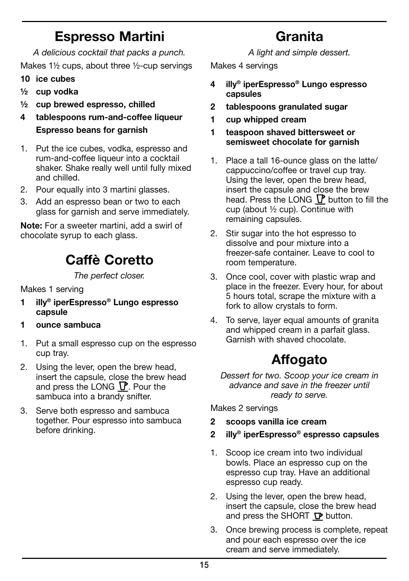### **Espresso Martini**

A delicious cocktail that packs a punch. Makes 1½ cups, about three ½-cup servings

- **10 ice cubes**
- **½ cup vodka**
- **½ cup brewed espresso, chilled**
- **4 tablespoons rum-and-coffee liqueur Espresso beans for garnish**
- 1. Put the ice cubes, vodka, espresso and rum-and-coffee liqueur into a cocktail shaker. Shake really well until fully mixed and chilled.
- 2. Pour equally into 3 martini glasses.
- 3. Add an espresso bean or two to each glass for garnish and serve immediately.

**Note:** For a sweeter martini, add a swirl of chocolate syrup to each glass.

### **Caffè Coretto**

The perfect closer.

Makes 1 serving

- **1 illy® iperEspresso® Lungo espresso capsule**
- **1 ounce sambuca**
- 1. Put a small espresso cup on the espresso cup tray.
- 2. Using the lever, open the brew head, insert the capsule, close the brew head and press the LONG  $\mathbb P$ . Pour the sambuca into a brandy snifter.
- 3. Serve both espresso and sambuca together. Pour espresso into sambuca before drinking.

**Granita** A light and simple dessert.

Makes 4 servings

- **4 illy® iperEspresso® Lungo espresso capsules**
- **2 tablespoons granulated sugar**
- **1 cup whipped cream**
- **1 teaspoon shaved bittersweet or semisweet chocolate for garnish**
- 1. Place a tall 16-ounce glass on the latte/ cappuccino/coffee or travel cup tray. Using the lever, open the brew head, insert the capsule and close the brew head. Press the LONG  $\nabla$  button to fill the cup (about ½ cup). Continue with remaining capsules.
- 2. Stir sugar into the hot espresso to dissolve and pour mixture into a freezer-safe container. Leave to cool to room temperature.
- 3. Once cool, cover with plastic wrap and place in the freezer. Every hour, for about 5 hours total, scrape the mixture with a fork to allow crystals to form.
- 4. To serve, layer equal amounts of granita and whipped cream in a parfait glass. Garnish with shaved chocolate.

### **Affogato**

Dessert for two. Scoop your ice cream in advance and save in the freezer until ready to serve.

Makes 2 servings

- **2 scoops vanilla ice cream**
- **2 illy® iperEspresso® espresso capsules**
- 1. Scoop ice cream into two individual bowls. Place an espresso cup on the espresso cup tray. Have an additional espresso cup ready.
- 2. Using the lever, open the brew head, insert the capsule, close the brew head and press the SHORT  $\nabla$  button.
- 3. Once brewing process is complete, repeat and pour each espresso over the ice cream and serve immediately.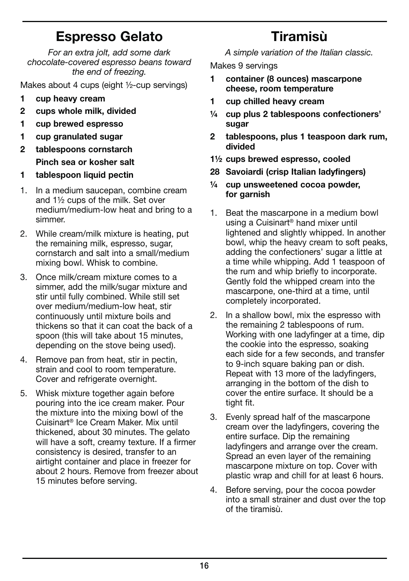### **Espresso Gelato**

For an extra jolt, add some dark chocolate-covered espresso beans toward the end of freezing.

Makes about 4 cups (eight ½-cup servings)

- **1 cup heavy cream**
- **2 cups whole milk, divided**
- **1 cup brewed espresso**
- **1 cup granulated sugar**
- **2 tablespoons cornstarch Pinch sea or kosher salt**
- **1 tablespoon liquid pectin**
- 1. In a medium saucepan, combine cream and 1½ cups of the milk. Set over medium/medium-low heat and bring to a simmer.
- 2. While cream/milk mixture is heating, put the remaining milk, espresso, sugar, cornstarch and salt into a small/medium mixing bowl. Whisk to combine.
- 3. Once milk/cream mixture comes to a simmer, add the milk/sugar mixture and stir until fully combined. While still set over medium/medium-low heat, stir continuously until mixture boils and thickens so that it can coat the back of a spoon (this will take about 15 minutes, depending on the stove being used).
- 4. Remove pan from heat, stir in pectin, strain and cool to room temperature. Cover and refrigerate overnight.
- 5. Whisk mixture together again before pouring into the ice cream maker. Pour the mixture into the mixing bowl of the Cuisinart® Ice Cream Maker. Mix until thickened, about 30 minutes. The gelato will have a soft, creamy texture. If a firmer consistency is desired, transfer to an airtight container and place in freezer for about 2 hours. Remove from freezer about 15 minutes before serving.

## **Tiramisù**

A simple variation of the Italian classic.

Makes 9 servings

- **1 container (8 ounces) mascarpone cheese, room temperature**
- **1 cup chilled heavy cream**
- **¼ cup plus 2 tablespoons confectioners' sugar**
- **2 tablespoons, plus 1 teaspoon dark rum, divided**
- **1½ cups brewed espresso, cooled**
- **28 Savoiardi (crisp Italian ladyfingers)**
- **¼ cup unsweetened cocoa powder, for garnish**
- 1. Beat the mascarpone in a medium bowl using a Cuisinart® hand mixer until lightened and slightly whipped. In another bowl, whip the heavy cream to soft peaks, adding the confectioners' sugar a little at a time while whipping. Add 1 teaspoon of the rum and whip briefly to incorporate. Gently fold the whipped cream into the mascarpone, one-third at a time, until completely incorporated.
- 2. In a shallow bowl, mix the espresso with the remaining 2 tablespoons of rum. Working with one ladyfinger at a time, dip the cookie into the espresso, soaking each side for a few seconds, and transfer to 9-inch square baking pan or dish. Repeat with 13 more of the ladyfingers, arranging in the bottom of the dish to cover the entire surface. It should be a tight fit.
- 3. Evenly spread half of the mascarpone cream over the ladyfingers, covering the entire surface. Dip the remaining ladyfingers and arrange over the cream. Spread an even laver of the remaining mascarpone mixture on top. Cover with plastic wrap and chill for at least 6 hours.
- 4. Before serving, pour the cocoa powder into a small strainer and dust over the top of the tiramisù.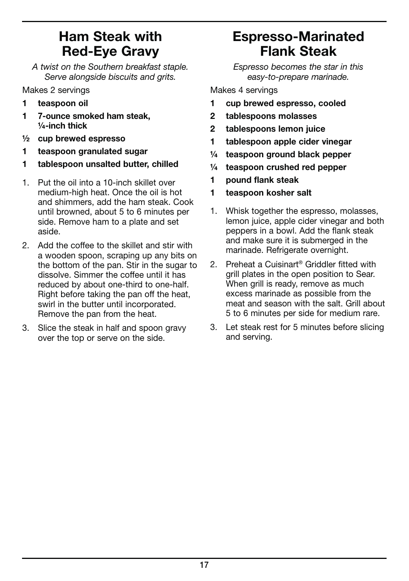### **Ham Steak with Red-Eye Gravy**

A twist on the Southern breakfast staple. Serve alongside biscuits and grits.

Makes 2 servings

- **1 teaspoon oil**
- **1 7-ounce smoked ham steak, ¼-inch thick**
- **½ cup brewed espresso**
- **1 teaspoon granulated sugar**
- **1 tablespoon unsalted butter, chilled**
- 1. Put the oil into a 10-inch skillet over medium-high heat. Once the oil is hot and shimmers, add the ham steak. Cook until browned, about 5 to 6 minutes per side. Remove ham to a plate and set aside.
- 2. Add the coffee to the skillet and stir with a wooden spoon, scraping up any bits on the bottom of the pan. Stir in the sugar to dissolve. Simmer the coffee until it has reduced by about one-third to one-half. Right before taking the pan off the heat, swirl in the butter until incorporated. Remove the pan from the heat.
- 3. Slice the steak in half and spoon gravy over the top or serve on the side.

### **Espresso-Marinated Flank Steak**

Espresso becomes the star in this easy-to-prepare marinade.

Makes 4 servings

- **1 cup brewed espresso, cooled**
- **2 tablespoons molasses**
- **2 tablespoons lemon juice**
- **1 tablespoon apple cider vinegar**
- **¼ teaspoon ground black pepper**
- **¼ teaspoon crushed red pepper**
- **1 pound flank steak**
- **1 teaspoon kosher salt**
- 1. Whisk together the espresso, molasses, lemon juice, apple cider vinegar and both peppers in a bowl. Add the flank steak and make sure it is submerged in the marinade. Refrigerate overnight.
- 2. Preheat a Cuisinart<sup>®</sup> Griddler fitted with grill plates in the open position to Sear. When grill is ready, remove as much excess marinade as possible from the meat and season with the salt. Grill about 5 to 6 minutes per side for medium rare.
- 3. Let steak rest for 5 minutes before slicing and serving.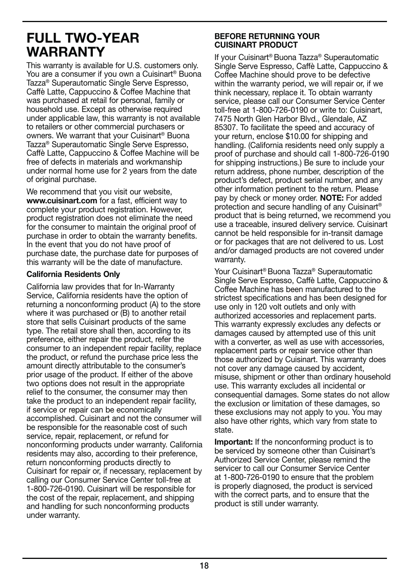### **FULL TWO-YEAR WARRANTY**

This warranty is available for U.S. customers only. You are a consumer if you own a Cuisinart<sup>®</sup> Buona Tazza® Superautomatic Single Serve Espresso, Caffè Latte, Cappuccino & Coffee Machine that was purchased at retail for personal, family or household use. Except as otherwise required under applicable law, this warranty is not available to retailers or other commercial purchasers or owners. We warrant that your Cuisinart<sup>®</sup> Buona Tazza® Superautomatic Single Serve Espresso, Caffè Latte, Cappuccino & Coffee Machine will be free of defects in materials and workmanship under normal home use for 2 years from the date of original purchase.

We recommend that you visit our website. **www.cuisinart.com** for a fast, efficient way to complete your product registration. However, product registration does not eliminate the need for the consumer to maintain the original proof of purchase in order to obtain the warranty benefits. In the event that you do not have proof of purchase date, the purchase date for purposes of this warranty will be the date of manufacture.

#### **California Residents Only**

California law provides that for In-Warranty Service, California residents have the option of returning a nonconforming product (A) to the store where it was purchased or (B) to another retail store that sells Cuisinart products of the same type. The retail store shall then, according to its preference, either repair the product, refer the consumer to an independent repair facility, replace the product, or refund the purchase price less the amount directly attributable to the consumer's prior usage of the product. If either of the above two options does not result in the appropriate relief to the consumer, the consumer may then take the product to an independent repair facility, if service or repair can be economically accomplished. Cuisinart and not the consumer will be responsible for the reasonable cost of such service, repair, replacement, or refund for nonconforming products under warranty. California residents may also, according to their preference, return nonconforming products directly to Cuisinart for repair or, if necessary, replacement by calling our Consumer Service Center toll-free at 1-800-726-0190. Cuisinart will be responsible for the cost of the repair, replacement, and shipping and handling for such nonconforming products under warranty.

#### **BEFORE RETURNING YOUR CUISINART PRODUCT**

If your Cuisinart® Buona Tazza® Superautomatic Single Serve Espresso, Caffè Latte, Cappuccino & Coffee Machine should prove to be defective within the warranty period, we will repair or, if we think necessary, replace it. To obtain warranty service, please call our Consumer Service Center toll-free at 1-800-726-0190 or write to: Cuisinart, 7475 North Glen Harbor Blvd., Glendale, AZ 85307. To facilitate the speed and accuracy of your return, enclose \$10.00 for shipping and handling. (California residents need only supply a proof of purchase and should call 1-800-726-0190 for shipping instructions.) Be sure to include your return address, phone number, description of the product's defect, product serial number, and any other information pertinent to the return. Please pay by check or money order. **NOTE:** For added protection and secure handling of any Cuisinart® product that is being returned, we recommend you use a traceable, insured delivery service. Cuisinart cannot be held responsible for in-transit damage or for packages that are not delivered to us. Lost and/or damaged products are not covered under warranty.

Your Cuisinart® Buona Tazza® Superautomatic Single Serve Espresso, Caffè Latte, Cappuccino & Coffee Machine has been manufactured to the strictest specifications and has been designed for use only in 120 volt outlets and only with authorized accessories and replacement parts. This warranty expressly excludes any defects or damages caused by attempted use of this unit with a converter, as well as use with accessories. replacement parts or repair service other than those authorized by Cuisinart. This warranty does not cover any damage caused by accident, misuse, shipment or other than ordinary household use. This warranty excludes all incidental or consequential damages. Some states do not allow the exclusion or limitation of these damages, so these exclusions may not apply to you. You may also have other rights, which vary from state to state.

**Important:** If the nonconforming product is to be serviced by someone other than Cuisinart's Authorized Service Center, please remind the servicer to call our Consumer Service Center at 1-800-726-0190 to ensure that the problem is properly diagnosed, the product is serviced with the correct parts, and to ensure that the product is still under warranty.